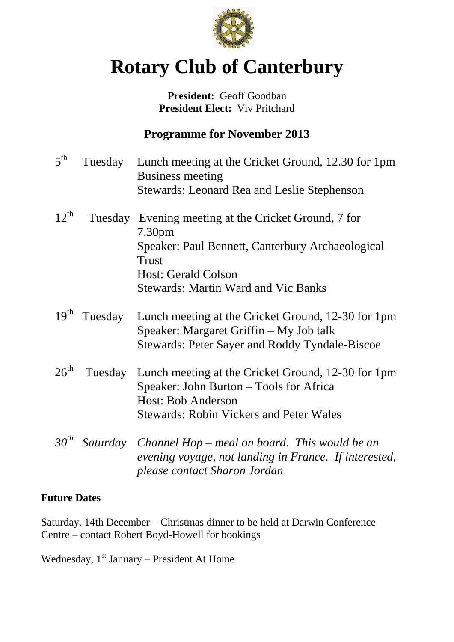

# **Rotary Club of Canterbury**

### **President:** Geoff Goodban **President Elect:** Viv Pritchard

# **Programme for November 2013**

| 5 <sup>th</sup>  | Tuesday  | Lunch meeting at the Cricket Ground, 12.30 for 1pm<br><b>Business meeting</b>                                                                          |
|------------------|----------|--------------------------------------------------------------------------------------------------------------------------------------------------------|
|                  |          | <b>Stewards: Leonard Rea and Leslie Stephenson</b>                                                                                                     |
| $12^{th}$        |          | Tuesday Evening meeting at the Cricket Ground, 7 for<br>7.30pm                                                                                         |
|                  |          | Speaker: Paul Bennett, Canterbury Archaeological<br><b>Trust</b>                                                                                       |
|                  |          | <b>Host: Gerald Colson</b>                                                                                                                             |
|                  |          | <b>Stewards: Martin Ward and Vic Banks</b>                                                                                                             |
| 19 <sup>th</sup> | Tuesday  | Lunch meeting at the Cricket Ground, 12-30 for 1pm<br>Speaker: Margaret Griffin – My Job talk<br><b>Stewards: Peter Sayer and Roddy Tyndale-Biscoe</b> |
| $26^{\text{th}}$ | Tuesday  | Lunch meeting at the Cricket Ground, 12-30 for 1pm<br>Speaker: John Burton - Tools for Africa<br>Host: Bob Anderson                                    |
|                  |          | <b>Stewards: Robin Vickers and Peter Wales</b>                                                                                                         |
| $30^{th}$        | Saturday | Channel $Hop$ – meal on board. This would be an<br>evening voyage, not landing in France. If interested,<br>please contact Sharon Jordan               |

#### **Future Dates**

Saturday, 14th December – Christmas dinner to be held at Darwin Conference Centre – contact Robert Boyd-Howell for bookings

Wednesday,  $1<sup>st</sup>$  January – President At Home